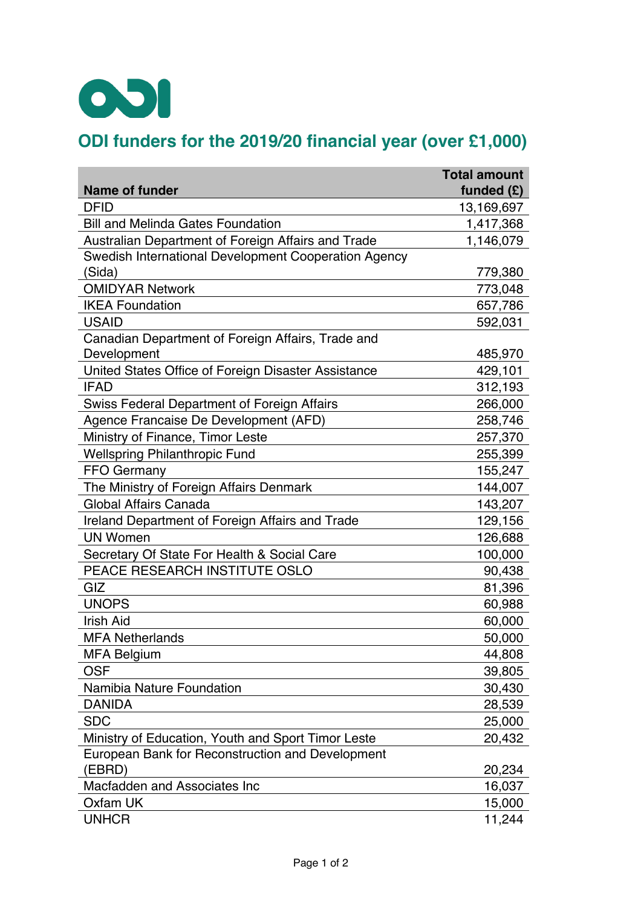

## **ODI funders for the 2019/20 financial year (over £1,000)**

|                                                      | <b>Total amount</b> |
|------------------------------------------------------|---------------------|
| Name of funder                                       | funded $(E)$        |
| <b>DFID</b>                                          | 13,169,697          |
| <b>Bill and Melinda Gates Foundation</b>             | 1,417,368           |
| Australian Department of Foreign Affairs and Trade   | 1,146,079           |
| Swedish International Development Cooperation Agency |                     |
| 'Sida)                                               | 779,380             |
| <b>OMIDYAR Network</b>                               | 773,048             |
| <b>IKEA Foundation</b>                               | 657,786             |
| <b>USAID</b>                                         | 592,031             |
| Canadian Department of Foreign Affairs, Trade and    |                     |
| Development                                          | 485,970             |
| United States Office of Foreign Disaster Assistance  | 429,101             |
| <b>IFAD</b>                                          | 312,193             |
| <b>Swiss Federal Department of Foreign Affairs</b>   | 266,000             |
| Agence Francaise De Development (AFD)                | 258,746             |
| Ministry of Finance, Timor Leste                     | 257,370             |
| <b>Wellspring Philanthropic Fund</b>                 | 255,399             |
| <b>FFO Germany</b>                                   | 155,247             |
| The Ministry of Foreign Affairs Denmark              | 144,007             |
| Global Affairs Canada                                | 143,207             |
| Ireland Department of Foreign Affairs and Trade      | 129,156             |
| <b>UN Women</b>                                      | 126,688             |
| Secretary Of State For Health & Social Care          | 100,000             |
| PEACE RESEARCH INSTITUTE OSLO                        | 90,438              |
| GIZ                                                  | 81,396              |
| <b>UNOPS</b>                                         | 60,988              |
| <b>Irish Aid</b>                                     | 60,000              |
| <b>MFA Netherlands</b>                               | 50,000              |
| <b>MFA Belgium</b>                                   | 44,808              |
| <b>OSF</b>                                           | 39,805              |
| <b>Namibia Nature Foundation</b>                     | 30,430              |
| <b>DANIDA</b>                                        | 28,539              |
| <b>SDC</b>                                           | 25,000              |
| Ministry of Education, Youth and Sport Timor Leste   | 20,432              |
| European Bank for Reconstruction and Development     |                     |
| (EBRD)                                               | 20,234              |
| Macfadden and Associates Inc                         | 16,037              |
| Oxfam UK                                             | 15,000              |
| <b>UNHCR</b>                                         | 11,244              |